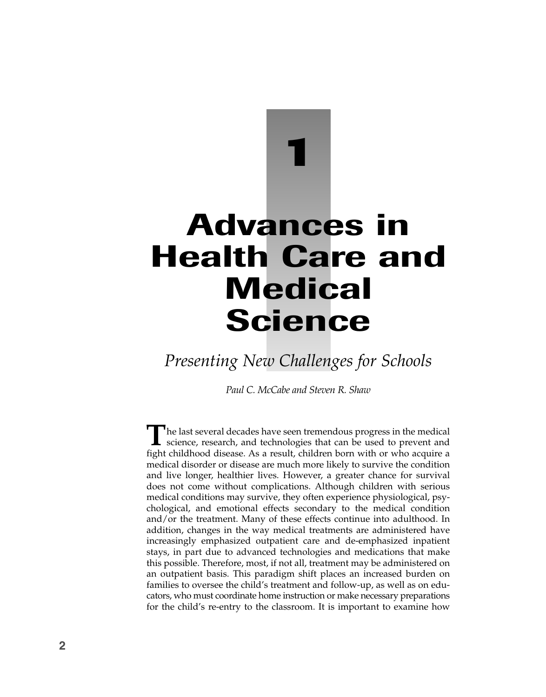# **1 Advances in Health Care and Medical Science**

*Presenting New Challenges for Schools*

*Paul C. McCabe and Steven R. Shaw*

The last several decades have seen tremendous progress in the medical science, research, and technologies that can be used to prevent and fight childhood discase. As a require hildren horn with or who acquire a fight childhood disease. As a result, children born with or who acquire a medical disorder or disease are much more likely to survive the condition and live longer, healthier lives. However, a greater chance for survival does not come without complications. Although children with serious medical conditions may survive, they often experience physiological, psychological, and emotional effects secondary to the medical condition and/or the treatment. Many of these effects continue into adulthood. In addition, changes in the way medical treatments are administered have increasingly emphasized outpatient care and de-emphasized inpatient stays, in part due to advanced technologies and medications that make this possible. Therefore, most, if not all, treatment may be administered on an outpatient basis. This paradigm shift places an increased burden on families to oversee the child's treatment and follow-up, as well as on educators, who must coordinate home instruction or make necessary preparations for the child's re-entry to the classroom. It is important to examine how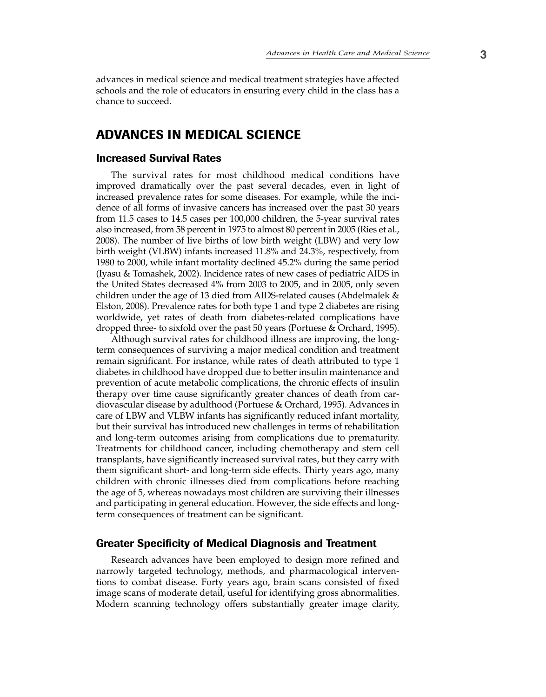advances in medical science and medical treatment strategies have affected schools and the role of educators in ensuring every child in the class has a chance to succeed.

## **ADVANCES IN MEDICAL SCIENCE**

### **Increased Survival Rates**

The survival rates for most childhood medical conditions have improved dramatically over the past several decades, even in light of increased prevalence rates for some diseases. For example, while the incidence of all forms of invasive cancers has increased over the past 30 years from 11.5 cases to 14.5 cases per 100,000 children, the 5-year survival rates also increased, from 58 percent in 1975 to almost 80 percent in 2005 (Ries et al., 2008). The number of live births of low birth weight (LBW) and very low birth weight (VLBW) infants increased 11.8% and 24.3%, respectively, from 1980 to 2000, while infant mortality declined 45.2% during the same period (Iyasu & Tomashek, 2002). Incidence rates of new cases of pediatric AIDS in the United States decreased 4% from 2003 to 2005, and in 2005, only seven children under the age of 13 died from AIDS-related causes (Abdelmalek & Elston, 2008). Prevalence rates for both type 1 and type 2 diabetes are rising worldwide, yet rates of death from diabetes-related complications have dropped three- to sixfold over the past 50 years (Portuese & Orchard, 1995).

Although survival rates for childhood illness are improving, the longterm consequences of surviving a major medical condition and treatment remain significant. For instance, while rates of death attributed to type 1 diabetes in childhood have dropped due to better insulin maintenance and prevention of acute metabolic complications, the chronic effects of insulin therapy over time cause significantly greater chances of death from cardiovascular disease by adulthood (Portuese & Orchard, 1995). Advances in care of LBW and VLBW infants has significantly reduced infant mortality, but their survival has introduced new challenges in terms of rehabilitation and long-term outcomes arising from complications due to prematurity. Treatments for childhood cancer, including chemotherapy and stem cell transplants, have significantly increased survival rates, but they carry with them significant short- and long-term side effects. Thirty years ago, many children with chronic illnesses died from complications before reaching the age of 5, whereas nowadays most children are surviving their illnesses and participating in general education. However, the side effects and longterm consequences of treatment can be significant.

#### **Greater Specificity of Medical Diagnosis and Treatment**

Research advances have been employed to design more refined and narrowly targeted technology, methods, and pharmacological interventions to combat disease. Forty years ago, brain scans consisted of fixed image scans of moderate detail, useful for identifying gross abnormalities. Modern scanning technology offers substantially greater image clarity,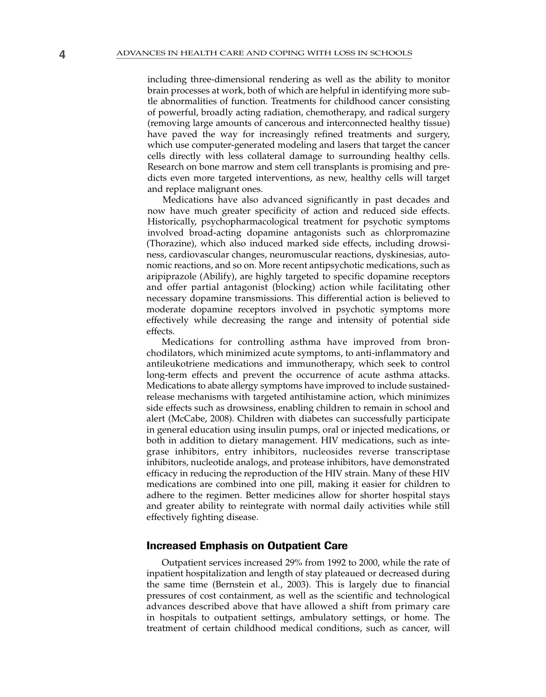including three-dimensional rendering as well as the ability to monitor brain processes at work, both of which are helpful in identifying more subtle abnormalities of function. Treatments for childhood cancer consisting of powerful, broadly acting radiation, chemotherapy, and radical surgery (removing large amounts of cancerous and interconnected healthy tissue) have paved the way for increasingly refined treatments and surgery, which use computer-generated modeling and lasers that target the cancer cells directly with less collateral damage to surrounding healthy cells. Research on bone marrow and stem cell transplants is promising and predicts even more targeted interventions, as new, healthy cells will target and replace malignant ones.

Medications have also advanced significantly in past decades and now have much greater specificity of action and reduced side effects. Historically, psychopharmacological treatment for psychotic symptoms involved broad-acting dopamine antagonists such as chlorpromazine (Thorazine), which also induced marked side effects, including drowsiness, cardiovascular changes, neuromuscular reactions, dyskinesias, autonomic reactions, and so on. More recent antipsychotic medications, such as aripiprazole (Abilify), are highly targeted to specific dopamine receptors and offer partial antagonist (blocking) action while facilitating other necessary dopamine transmissions. This differential action is believed to moderate dopamine receptors involved in psychotic symptoms more effectively while decreasing the range and intensity of potential side effects.

Medications for controlling asthma have improved from bronchodilators, which minimized acute symptoms, to anti-inflammatory and antileukotriene medications and immunotherapy, which seek to control long-term effects and prevent the occurrence of acute asthma attacks. Medications to abate allergy symptoms have improved to include sustainedrelease mechanisms with targeted antihistamine action, which minimizes side effects such as drowsiness, enabling children to remain in school and alert (McCabe, 2008). Children with diabetes can successfully participate in general education using insulin pumps, oral or injected medications, or both in addition to dietary management. HIV medications, such as integrase inhibitors, entry inhibitors, nucleosides reverse transcriptase inhibitors, nucleotide analogs, and protease inhibitors, have demonstrated efficacy in reducing the reproduction of the HIV strain. Many of these HIV medications are combined into one pill, making it easier for children to adhere to the regimen. Better medicines allow for shorter hospital stays and greater ability to reintegrate with normal daily activities while still effectively fighting disease.

#### **Increased Emphasis on Outpatient Care**

Outpatient services increased 29% from 1992 to 2000, while the rate of inpatient hospitalization and length of stay plateaued or decreased during the same time (Bernstein et al., 2003). This is largely due to financial pressures of cost containment, as well as the scientific and technological advances described above that have allowed a shift from primary care in hospitals to outpatient settings, ambulatory settings, or home. The treatment of certain childhood medical conditions, such as cancer, will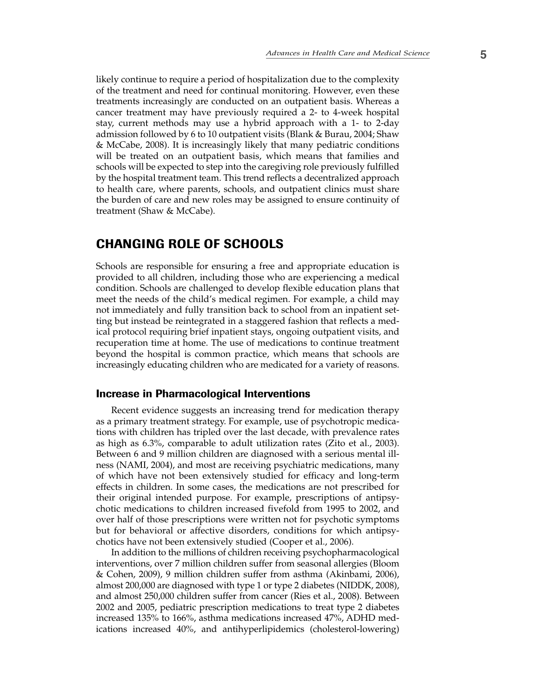likely continue to require a period of hospitalization due to the complexity of the treatment and need for continual monitoring. However, even these treatments increasingly are conducted on an outpatient basis. Whereas a cancer treatment may have previously required a 2- to 4-week hospital stay, current methods may use a hybrid approach with a 1- to 2-day admission followed by 6 to 10 outpatient visits (Blank & Burau, 2004; Shaw & McCabe, 2008). It is increasingly likely that many pediatric conditions will be treated on an outpatient basis, which means that families and schools will be expected to step into the caregiving role previously fulfilled by the hospital treatment team. This trend reflects a decentralized approach to health care, where parents, schools, and outpatient clinics must share the burden of care and new roles may be assigned to ensure continuity of treatment (Shaw & McCabe).

## **CHANGING ROLE OF SCHOOLS**

Schools are responsible for ensuring a free and appropriate education is provided to all children, including those who are experiencing a medical condition. Schools are challenged to develop flexible education plans that meet the needs of the child's medical regimen. For example, a child may not immediately and fully transition back to school from an inpatient setting but instead be reintegrated in a staggered fashion that reflects a medical protocol requiring brief inpatient stays, ongoing outpatient visits, and recuperation time at home. The use of medications to continue treatment beyond the hospital is common practice, which means that schools are increasingly educating children who are medicated for a variety of reasons.

#### **Increase in Pharmacological Interventions**

Recent evidence suggests an increasing trend for medication therapy as a primary treatment strategy. For example, use of psychotropic medications with children has tripled over the last decade, with prevalence rates as high as 6.3%, comparable to adult utilization rates (Zito et al., 2003). Between 6 and 9 million children are diagnosed with a serious mental illness (NAMI, 2004), and most are receiving psychiatric medications, many of which have not been extensively studied for efficacy and long-term effects in children. In some cases, the medications are not prescribed for their original intended purpose. For example, prescriptions of antipsychotic medications to children increased fivefold from 1995 to 2002, and over half of those prescriptions were written not for psychotic symptoms but for behavioral or affective disorders, conditions for which antipsychotics have not been extensively studied (Cooper et al., 2006).

In addition to the millions of children receiving psychopharmacological interventions, over 7 million children suffer from seasonal allergies (Bloom & Cohen, 2009), 9 million children suffer from asthma (Akinbami, 2006), almost 200,000 are diagnosed with type 1 or type 2 diabetes (NIDDK, 2008), and almost 250,000 children suffer from cancer (Ries et al., 2008). Between 2002 and 2005, pediatric prescription medications to treat type 2 diabetes increased 135% to 166%, asthma medications increased 47%, ADHD medications increased 40%, and antihyperlipidemics (cholesterol-lowering)